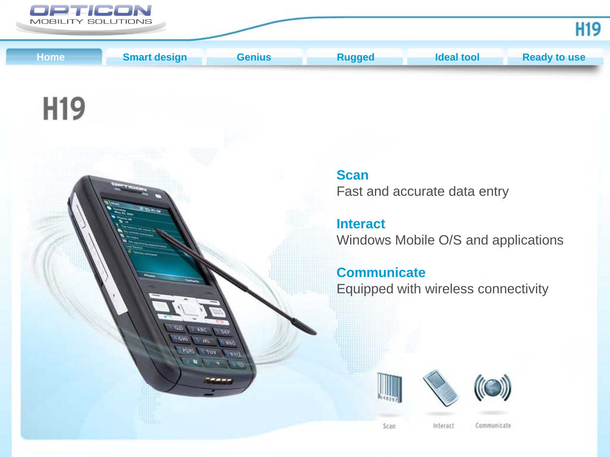

**GHI ZROV** 

VUV

mu

<span id="page-0-0"></span>

# H<sub>19</sub>



Fast and accurate data entry

**Interact** Windows Mobile O/S and applications

# **Communicate** Equipped with wireless connectivity



Scan



Interact

Communicate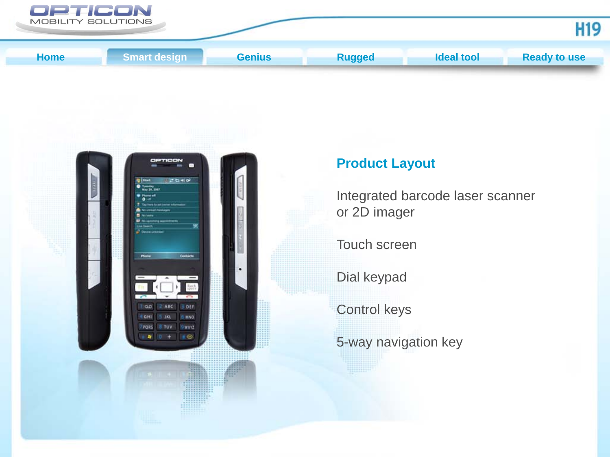<span id="page-1-0"></span>



# **Product Layout**

Integrated barcode laser scanner or 2D imager

Touch screen

Dial keypad

Control keys

5-way navigation key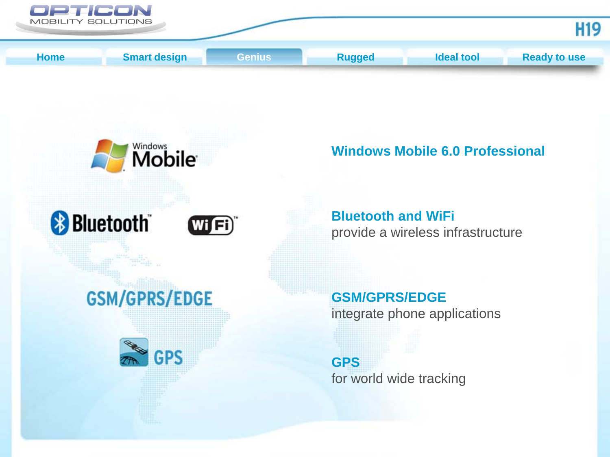<span id="page-2-0"></span>

**Mobile Windows Mobile 6.0 Professional Bluetooth and WiFi Bluetooth**  $Wi$   $Fi)$ provide a wireless infrastructure **GSM/GPRS/EDGE GSM/GPRS/EDGE** integrate phone applications **GPS** 

**GPS** for world wide tracking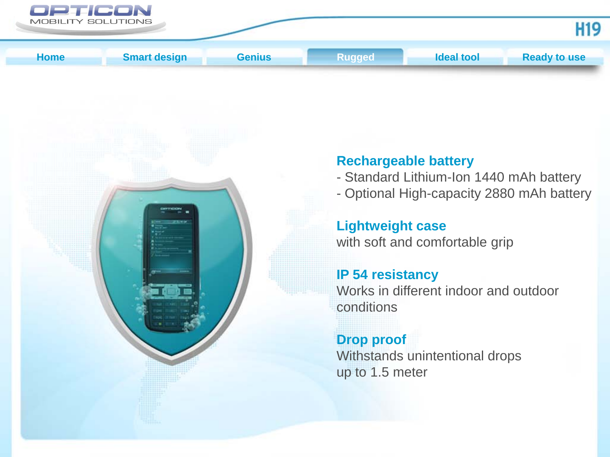<span id="page-3-0"></span>



## **Rechargeable battery**

- Standard Lithium-Ion 1440 mAh battery
- Optional High-capacity 2880 mAh battery

**Lightweight case** with soft and comfortable grip

#### **IP 54 resistancy**

Works in different indoor and outdoor conditions

# **Drop proof**

Withstands unintentional drops up to 1.5 meter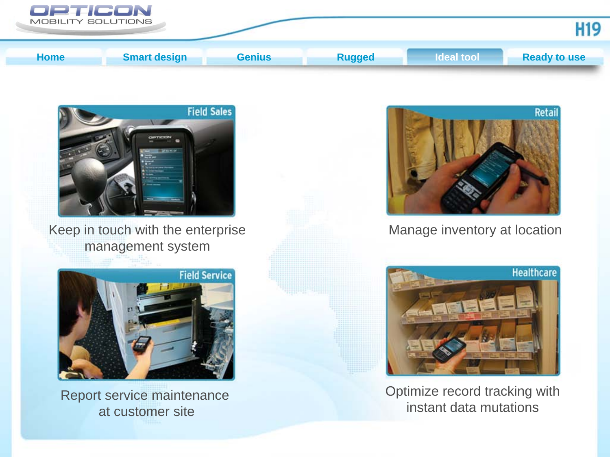<span id="page-4-0"></span>



Keep in touch with the enterprise management system



Report service maintenance at customer site



Manage inventory at location



Optimize record tracking with instant data mutations